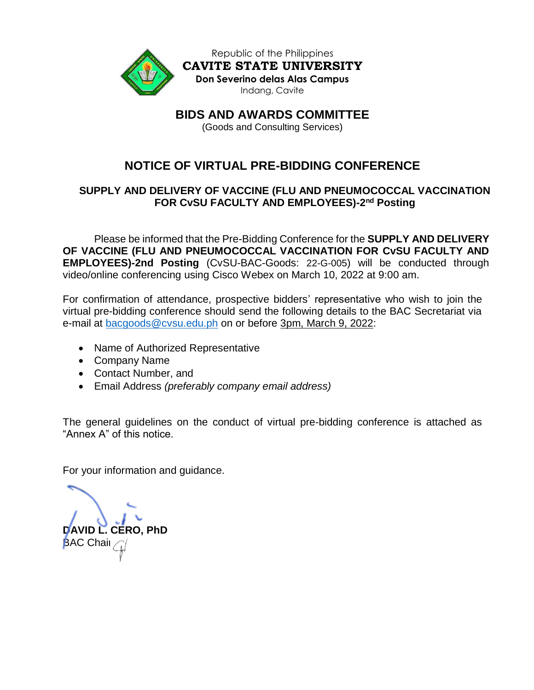

Republic of the Philippines **CAVITE STATE UNIVERSITY Don Severino delas Alas Campus** Indang, Cavite

**BIDS AND AWARDS COMMITTEE**

(Goods and Consulting Services)

# **NOTICE OF VIRTUAL PRE-BIDDING CONFERENCE**

## **SUPPLY AND DELIVERY OF VACCINE (FLU AND PNEUMOCOCCAL VACCINATION FOR CvSU FACULTY AND EMPLOYEES)-2 nd Posting**

Please be informed that the Pre-Bidding Conference for the **SUPPLY AND DELIVERY OF VACCINE (FLU AND PNEUMOCOCCAL VACCINATION FOR CvSU FACULTY AND EMPLOYEES)-2nd Posting** (CvSU-BAC-Goods: 22-G-005) will be conducted through video/online conferencing using Cisco Webex on March 10, 2022 at 9:00 am.

For confirmation of attendance, prospective bidders' representative who wish to join the virtual pre-bidding conference should send the following details to the BAC Secretariat via e-mail at [bacgoods@cvsu.edu.ph](mailto:bacgoods@cvsu.edu.ph) on or before 3pm, March 9, 2022:

- Name of Authorized Representative
- Company Name
- Contact Number, and
- Email Address *(preferably company email address)*

The general guidelines on the conduct of virtual pre-bidding conference is attached as "Annex A" of this notice.

For your information and guidance.

**DAVID L. CERO, PhD BAC Chair**